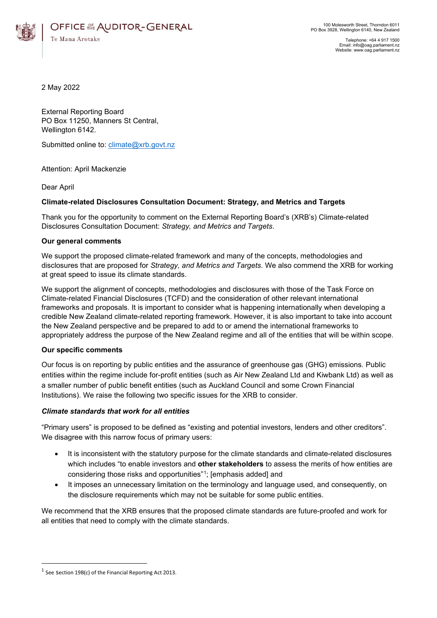

Telephone: +64 4 917 1500 Email: info@oag.parliament.nz Website: www.oag.parliament.nz

2 May 2022

External Reporting Board PO Box 11250, Manners St Central, Wellington 6142.

Submitted online to: climate@xrb.govt.nz

Attention: April Mackenzie

Dear April

# **Climate-related Disclosures Consultation Document: Strategy, and Metrics and Targets**

Thank you for the opportunity to comment on the External Reporting Board's (XRB's) Climate-related Disclosures Consultation Document: *Strategy, and Metrics and Targets*.

### **Our general comments**

We support the proposed climate-related framework and many of the concepts, methodologies and disclosures that are proposed for *Strategy, and Metrics and Targets*. We also commend the XRB for working at great speed to issue its climate standards.

We support the alignment of concepts, methodologies and disclosures with those of the Task Force on Climate-related Financial Disclosures (TCFD) and the consideration of other relevant international frameworks and proposals. It is important to consider what is happening internationally when developing a credible New Zealand climate-related reporting framework. However, it is also important to take into account the New Zealand perspective and be prepared to add to or amend the international frameworks to appropriately address the purpose of the New Zealand regime and all of the entities that will be within scope.

# **Our specific comments**

Our focus is on reporting by public entities and the assurance of greenhouse gas (GHG) emissions. Public entities within the regime include for-profit entities (such as Air New Zealand Ltd and Kiwbank Ltd) as well as a smaller number of public benefit entities (such as Auckland Council and some Crown Financial Institutions). We raise the following two specific issues for the XRB to consider.

#### *Climate standards that work for all entities*

"Primary users" is proposed to be defined as "existing and potential investors, lenders and other creditors". We disagree with this narrow focus of primary users:

- It is inconsistent with the statutory purpose for the climate standards and climate-related disclosures which includes "to enable investors and **other stakeholders** to assess the merits of how entities are considering those risks and opportunities"[1](#page-0-0); [emphasis added] and
- It imposes an unnecessary limitation on the terminology and language used, and consequently, on the disclosure requirements which may not be suitable for some public entities.

We recommend that the XRB ensures that the proposed climate standards are future-proofed and work for all entities that need to comply with the climate standards.

<span id="page-0-0"></span> $1$  See Section 19B(c) of the Financial Reporting Act 2013.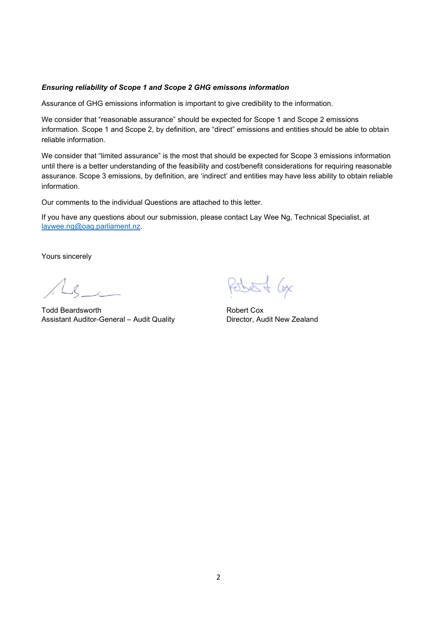## *Ensuring reliability of Scope 1 and Scope 2 GHG emissons information*

Assurance of GHG emissions information is important to give credibility to the information.

We consider that "reasonable assurance" should be expected for Scope 1 and Scope 2 emissions information. Scope 1 and Scope 2, by definition, are "direct" emissions and entities should be able to obtain reliable information.

We consider that "limited assurance" is the most that should be expected for Scope 3 emissions information until there is a better understanding of the feasibility and cost/benefit considerations for requiring reasonable assurance. Scope 3 emissions, by definition, are 'indirect' and entities may have less ability to obtain reliable information.

Our comments to the individual Questions are attached to this letter.

If you have any questions about our submission, please contact Lay Wee Ng, Technical Specialist, at [laywee.ng@oag.parliament.nz.](mailto:laywee.ng@oag.parliament.nz)

Yours sincerely

 $\ell$ 

Todd Beardsworth **Robert Cox** Assistant Auditor-General – Audit Quality Director, Audit New Zealand

Pobert Gx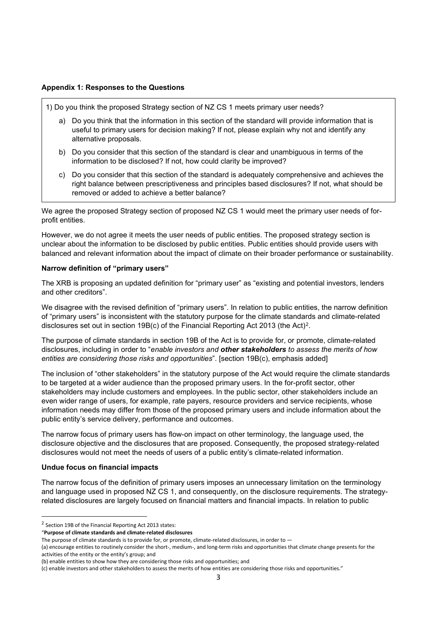## **Appendix 1: Responses to the Questions**

1) Do you think the proposed Strategy section of NZ CS 1 meets primary user needs?

- a) Do you think that the information in this section of the standard will provide information that is useful to primary users for decision making? If not, please explain why not and identify any alternative proposals.
- b) Do you consider that this section of the standard is clear and unambiguous in terms of the information to be disclosed? If not, how could clarity be improved?
- c) Do you consider that this section of the standard is adequately comprehensive and achieves the right balance between prescriptiveness and principles based disclosures? If not, what should be removed or added to achieve a better balance?

We agree the proposed Strategy section of proposed NZ CS 1 would meet the primary user needs of forprofit entities.

However, we do not agree it meets the user needs of public entities. The proposed strategy section is unclear about the information to be disclosed by public entities. Public entities should provide users with balanced and relevant information about the impact of climate on their broader performance or sustainability.

### **Narrow definition of "primary users"**

The XRB is proposing an updated definition for "primary user" as "existing and potential investors, lenders and other creditors".

We disagree with the revised definition of "primary users". In relation to public entities, the narrow definition of "primary users" is inconsistent with the statutory purpose for the climate standards and climate-related disclosures set out in section  $19B(c)$  of the Financial Reporting Act [2](#page-2-0)013 (the Act)<sup>2</sup>.

The purpose of climate standards in section 19B of the Act is to provide for, or promote, climate-related disclosures, including in order to "*enable investors and other stakeholders to assess the merits of how entities are considering those risks and opportunities*". [section 19B(c), emphasis added]

The inclusion of "other stakeholders" in the statutory purpose of the Act would require the climate standards to be targeted at a wider audience than the proposed primary users. In the for-profit sector, other stakeholders may include customers and employees. In the public sector, other stakeholders include an even wider range of users, for example, rate payers, resource providers and service recipients, whose information needs may differ from those of the proposed primary users and include information about the public entity's service delivery, performance and outcomes.

The narrow focus of primary users has flow-on impact on other terminology, the language used, the disclosure objective and the disclosures that are proposed. Consequently, the proposed strategy-related disclosures would not meet the needs of users of a public entity's climate-related information.

# **Undue focus on financial impacts**

The narrow focus of the definition of primary users imposes an unnecessary limitation on the terminology and language used in proposed NZ CS 1, and consequently, on the disclosure requirements. The strategyrelated disclosures are largely focused on financial matters and financial impacts. In relation to public

<span id="page-2-0"></span><sup>2</sup> Section 19B of the Financial Reporting Act 2013 states:

<sup>&</sup>quot;**Purpose of climate standards and climate-related disclosures**

The purpose of climate standards is to provide for, or promote, climate-related disclosures, in order to  $-$ 

<sup>(</sup>a) encourage entities to routinely consider the short-, medium-, and long-term risks and opportunities that climate change presents for the activities of the entity or the entity's group; and

<sup>(</sup>b) enable entities to show how they are considering those risks and opportunities; and

<sup>(</sup>c) enable investors and other stakeholders to assess the merits of how entities are considering those risks and opportunities."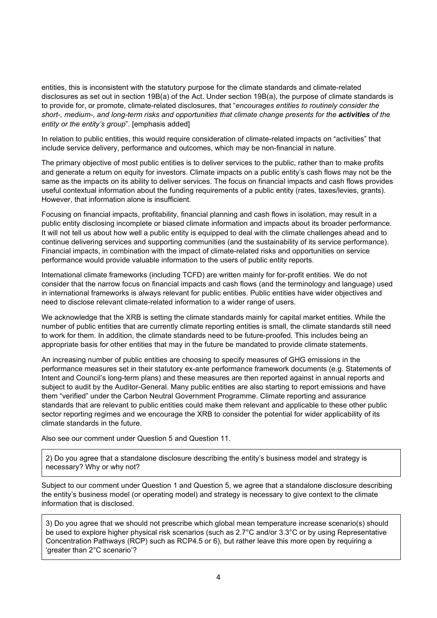entities, this is inconsistent with the statutory purpose for the climate standards and climate-related disclosures as set out in section 19B(a) of the Act. Under section 19B(a), the purpose of climate standards is to provide for, or promote, climate-related disclosures, that "*encourages entities to routinely consider the short-, medium-, and long-term risks and opportunities that climate change presents for the activities of the entity or the entity's group*". [emphasis added]

In relation to public entities, this would require consideration of climate-related impacts on "activities" that include service delivery, performance and outcomes, which may be non-financial in nature.

The primary objective of most public entities is to deliver services to the public, rather than to make profits and generate a return on equity for investors. Climate impacts on a public entity's cash flows may not be the same as the impacts on its ability to deliver services. The focus on financial impacts and cash flows provides useful contextual information about the funding requirements of a public entity (rates, taxes/levies, grants). However, that information alone is insufficient.

Focusing on financial impacts, profitability, financial planning and cash flows in isolation, may result in a public entity disclosing incomplete or biased climate information and impacts about its broader performance. It will not tell us about how well a public entity is equipped to deal with the climate challenges ahead and to continue delivering services and supporting communities (and the sustainability of its service performance). Financial impacts, in combination with the impact of climate-related risks and opportunities on service performance would provide valuable information to the users of public entity reports.

International climate frameworks (including TCFD) are written mainly for for-profit entities. We do not consider that the narrow focus on financial impacts and cash flows (and the terminology and language) used in international frameworks is always relevant for public entities. Public entities have wider objectives and need to disclose relevant climate-related information to a wider range of users.

We acknowledge that the XRB is setting the climate standards mainly for capital market entities. While the number of public entities that are currently climate reporting entities is small, the climate standards still need to work for them. In addition, the climate standards need to be future-proofed. This includes being an appropriate basis for other entities that may in the future be mandated to provide climate statements.

An increasing number of public entities are choosing to specify measures of GHG emissions in the performance measures set in their statutory ex-ante performance framework documents (e.g. Statements of Intent and Council's long-term plans) and these measures are then reported against in annual reports and subject to audit by the Auditor-General. Many public entities are also starting to report emissions and have them "verified" under the Carbon Neutral Government Programme. Climate reporting and assurance standards that are relevant to public entities could make them relevant and applicable to these other public sector reporting regimes and we encourage the XRB to consider the potential for wider applicability of its climate standards in the future.

Also see our comment under Question 5 and Question 11.

2) Do you agree that a standalone disclosure describing the entity's business model and strategy is necessary? Why or why not?

Subject to our comment under Question 1 and Question 5, we agree that a standalone disclosure describing the entity's business model (or operating model) and strategy is necessary to give context to the climate information that is disclosed.

3) Do you agree that we should not prescribe which global mean temperature increase scenario(s) should be used to explore higher physical risk scenarios (such as 2.7°C and/or 3.3°C or by using Representative Concentration Pathways (RCP) such as RCP4.5 or 6), but rather leave this more open by requiring a 'greater than 2°C scenario'?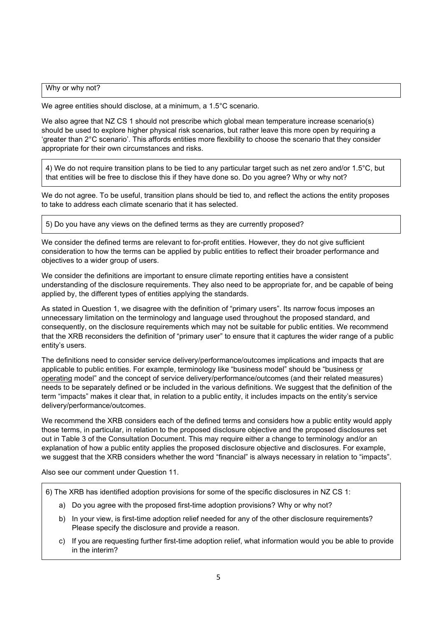Why or why not?

We agree entities should disclose, at a minimum, a 1.5°C scenario.

We also agree that NZ CS 1 should not prescribe which global mean temperature increase scenario(s) should be used to explore higher physical risk scenarios, but rather leave this more open by requiring a 'greater than 2°C scenario'. This affords entities more flexibility to choose the scenario that they consider appropriate for their own circumstances and risks.

4) We do not require transition plans to be tied to any particular target such as net zero and/or 1.5°C, but that entities will be free to disclose this if they have done so. Do you agree? Why or why not?

We do not agree. To be useful, transition plans should be tied to, and reflect the actions the entity proposes to take to address each climate scenario that it has selected.

5) Do you have any views on the defined terms as they are currently proposed?

We consider the defined terms are relevant to for-profit entities. However, they do not give sufficient consideration to how the terms can be applied by public entities to reflect their broader performance and objectives to a wider group of users.

We consider the definitions are important to ensure climate reporting entities have a consistent understanding of the disclosure requirements. They also need to be appropriate for, and be capable of being applied by, the different types of entities applying the standards.

As stated in Question 1, we disagree with the definition of "primary users". Its narrow focus imposes an unnecessary limitation on the terminology and language used throughout the proposed standard, and consequently, on the disclosure requirements which may not be suitable for public entities. We recommend that the XRB reconsiders the definition of "primary user" to ensure that it captures the wider range of a public entity's users.

The definitions need to consider service delivery/performance/outcomes implications and impacts that are applicable to public entities. For example, terminology like "business model" should be "business or operating model" and the concept of service delivery/performance/outcomes (and their related measures) needs to be separately defined or be included in the various definitions. We suggest that the definition of the term "impacts" makes it clear that, in relation to a public entity, it includes impacts on the entity's service delivery/performance/outcomes.

We recommend the XRB considers each of the defined terms and considers how a public entity would apply those terms, in particular, in relation to the proposed disclosure objective and the proposed disclosures set out in Table 3 of the Consultation Document. This may require either a change to terminology and/or an explanation of how a public entity applies the proposed disclosure objective and disclosures. For example, we suggest that the XRB considers whether the word "financial" is always necessary in relation to "impacts".

Also see our comment under Question 11.

6) The XRB has identified adoption provisions for some of the specific disclosures in NZ CS 1:

- a) Do you agree with the proposed first-time adoption provisions? Why or why not?
- b) In your view, is first-time adoption relief needed for any of the other disclosure requirements? Please specify the disclosure and provide a reason.
- c) If you are requesting further first-time adoption relief, what information would you be able to provide in the interim?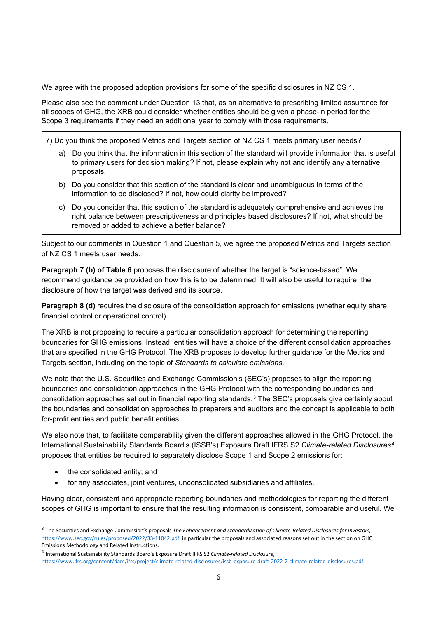We agree with the proposed adoption provisions for some of the specific disclosures in NZ CS 1.

Please also see the comment under Question 13 that, as an alternative to prescribing limited assurance for all scopes of GHG, the XRB could consider whether entities should be given a phase-in period for the Scope 3 requirements if they need an additional year to comply with those requirements.

7) Do you think the proposed Metrics and Targets section of NZ CS 1 meets primary user needs?

- a) Do you think that the information in this section of the standard will provide information that is useful to primary users for decision making? If not, please explain why not and identify any alternative proposals.
- b) Do you consider that this section of the standard is clear and unambiguous in terms of the information to be disclosed? If not, how could clarity be improved?
- c) Do you consider that this section of the standard is adequately comprehensive and achieves the right balance between prescriptiveness and principles based disclosures? If not, what should be removed or added to achieve a better balance?

Subject to our comments in Question 1 and Question 5, we agree the proposed Metrics and Targets section of NZ CS 1 meets user needs.

**Paragraph 7 (b) of Table 6** proposes the disclosure of whether the target is "science-based". We recommend guidance be provided on how this is to be determined. It will also be useful to require the disclosure of how the target was derived and its source.

**Paragraph 8 (d)** requires the disclosure of the consolidation approach for emissions (whether equity share, financial control or operational control).

The XRB is not proposing to require a particular consolidation approach for determining the reporting boundaries for GHG emissions. Instead, entities will have a choice of the different consolidation approaches that are specified in the GHG Protocol. The XRB proposes to develop further guidance for the Metrics and Targets section, including on the topic of *Standards to calculate emissions*.

We note that the U.S. Securities and Exchange Commission's (SEC's) proposes to align the reporting boundaries and consolidation approaches in the GHG Protocol with the corresponding boundaries and consolidation approaches set out in financial reporting standards.[3](#page-5-0) The SEC's proposals give certainty about the boundaries and consolidation approaches to preparers and auditors and the concept is applicable to both for-profit entities and public benefit entities.

We also note that, to facilitate comparability given the different approaches allowed in the GHG Protocol, the International Sustainability Standards Board's (ISSB's) Exposure Draft IFRS S2 *Climate-related Disclosures[4](#page-5-1)* proposes that entities be required to separately disclose Scope 1 and Scope 2 emissions for:

- the consolidated entity; and
- for any associates, joint ventures, unconsolidated subsidiaries and affiliates.

Having clear, consistent and appropriate reporting boundaries and methodologies for reporting the different scopes of GHG is important to ensure that the resulting information is consistent, comparable and useful. We

<span id="page-5-0"></span><sup>3</sup> The Securities and Exchange Commission's proposals *The Enhancement and Standardization of Climate-Related Disclosures for Investors,* [https://www.sec.gov/rules/proposed/2022/33-11042.pdf,](https://www.sec.gov/rules/proposed/2022/33-11042.pdf) in particular the proposals and associated reasons set out in the section on GHG Emissions Methodology and Related Instructions.

<span id="page-5-1"></span><sup>4</sup> International Sustainability Standards Board's Exposure Draft IFRS S2 *Climate-related Disclosure*,

<https://www.ifrs.org/content/dam/ifrs/project/climate-related-disclosures/issb-exposure-draft-2022-2-climate-related-disclosures.pdf>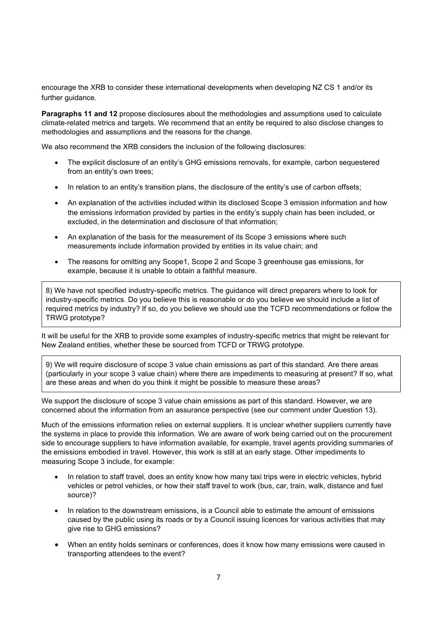encourage the XRB to consider these international developments when developing NZ CS 1 and/or its further guidance.

**Paragraphs 11 and 12** propose disclosures about the methodologies and assumptions used to calculate climate-related metrics and targets. We recommend that an entity be required to also disclose changes to methodologies and assumptions and the reasons for the change.

We also recommend the XRB considers the inclusion of the following disclosures:

- The explicit disclosure of an entity's GHG emissions removals, for example, carbon sequestered from an entity's own trees;
- In relation to an entity's transition plans, the disclosure of the entity's use of carbon offsets;
- An explanation of the activities included within its disclosed Scope 3 emission information and how the emissions information provided by parties in the entity's supply chain has been included, or excluded, in the determination and disclosure of that information;
- An explanation of the basis for the measurement of its Scope 3 emissions where such measurements include information provided by entities in its value chain; and
- The reasons for omitting any Scope1, Scope 2 and Scope 3 greenhouse gas emissions, for example, because it is unable to obtain a faithful measure.

8) We have not specified industry-specific metrics. The guidance will direct preparers where to look for industry-specific metrics. Do you believe this is reasonable or do you believe we should include a list of required metrics by industry? If so, do you believe we should use the TCFD recommendations or follow the TRWG prototype?

It will be useful for the XRB to provide some examples of industry-specific metrics that might be relevant for New Zealand entities, whether these be sourced from TCFD or TRWG prototype.

9) We will require disclosure of scope 3 value chain emissions as part of this standard. Are there areas (particularly in your scope 3 value chain) where there are impediments to measuring at present? If so, what are these areas and when do you think it might be possible to measure these areas?

We support the disclosure of scope 3 value chain emissions as part of this standard. However, we are concerned about the information from an assurance perspective (see our comment under Question 13).

Much of the emissions information relies on external suppliers. It is unclear whether suppliers currently have the systems in place to provide this information. We are aware of work being carried out on the procurement side to encourage suppliers to have information available, for example, travel agents providing summaries of the emissions embodied in travel. However, this work is still at an early stage. Other impediments to measuring Scope 3 include, for example:

- In relation to staff travel, does an entity know how many taxi trips were in electric vehicles, hybrid vehicles or petrol vehicles, or how their staff travel to work (bus, car, train, walk, distance and fuel source)?
- In relation to the downstream emissions, is a Council able to estimate the amount of emissions caused by the public using its roads or by a Council issuing licences for various activities that may give rise to GHG emissions?
- When an entity holds seminars or conferences, does it know how many emissions were caused in transporting attendees to the event?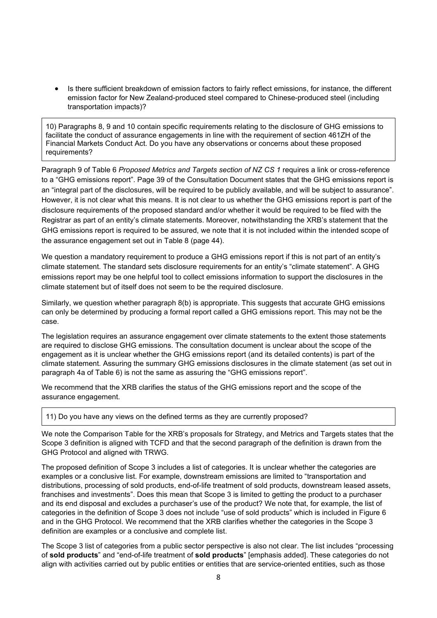• Is there sufficient breakdown of emission factors to fairly reflect emissions, for instance, the different emission factor for New Zealand-produced steel compared to Chinese-produced steel (including transportation impacts)?

10) Paragraphs 8, 9 and 10 contain specific requirements relating to the disclosure of GHG emissions to facilitate the conduct of assurance engagements in line with the requirement of section 461ZH of the Financial Markets Conduct Act. Do you have any observations or concerns about these proposed requirements?

Paragraph 9 of Table 6 *Proposed Metrics and Targets section of NZ CS 1* requires a link or cross-reference to a "GHG emissions report". Page 39 of the Consultation Document states that the GHG emissions report is an "integral part of the disclosures, will be required to be publicly available, and will be subject to assurance". However, it is not clear what this means. It is not clear to us whether the GHG emissions report is part of the disclosure requirements of the proposed standard and/or whether it would be required to be filed with the Registrar as part of an entity's climate statements. Moreover, notwithstanding the XRB's statement that the GHG emissions report is required to be assured, we note that it is not included within the intended scope of the assurance engagement set out in Table 8 (page 44).

We question a mandatory requirement to produce a GHG emissions report if this is not part of an entity's climate statement. The standard sets disclosure requirements for an entity's "climate statement". A GHG emissions report may be one helpful tool to collect emissions information to support the disclosures in the climate statement but of itself does not seem to be the required disclosure.

Similarly, we question whether paragraph 8(b) is appropriate. This suggests that accurate GHG emissions can only be determined by producing a formal report called a GHG emissions report. This may not be the case.

The legislation requires an assurance engagement over climate statements to the extent those statements are required to disclose GHG emissions. The consultation document is unclear about the scope of the engagement as it is unclear whether the GHG emissions report (and its detailed contents) is part of the climate statement. Assuring the summary GHG emissions disclosures in the climate statement (as set out in paragraph 4a of Table 6) is not the same as assuring the "GHG emissions report".

We recommend that the XRB clarifies the status of the GHG emissions report and the scope of the assurance engagement.

11) Do you have any views on the defined terms as they are currently proposed?

We note the Comparison Table for the XRB's proposals for Strategy, and Metrics and Targets states that the Scope 3 definition is aligned with TCFD and that the second paragraph of the definition is drawn from the GHG Protocol and aligned with TRWG.

The proposed definition of Scope 3 includes a list of categories. It is unclear whether the categories are examples or a conclusive list. For example, downstream emissions are limited to "transportation and distributions, processing of sold products, end-of-life treatment of sold products, downstream leased assets, franchises and investments". Does this mean that Scope 3 is limited to getting the product to a purchaser and its end disposal and excludes a purchaser's use of the product? We note that, for example, the list of categories in the definition of Scope 3 does not include "use of sold products" which is included in Figure 6 and in the GHG Protocol. We recommend that the XRB clarifies whether the categories in the Scope 3 definition are examples or a conclusive and complete list.

The Scope 3 list of categories from a public sector perspective is also not clear. The list includes "processing of **sold products**" and "end-of-life treatment of **sold products**" [emphasis added]. These categories do not align with activities carried out by public entities or entities that are service-oriented entities, such as those